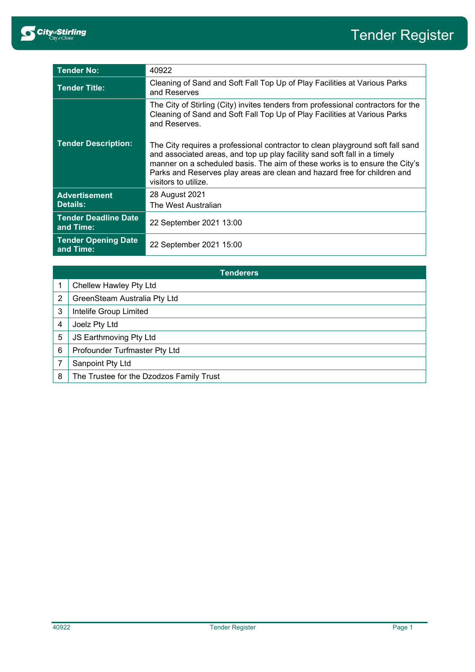

| <b>Tender No:</b>                        | 40922                                                                                                                                                                                                                                                                                                                                          |
|------------------------------------------|------------------------------------------------------------------------------------------------------------------------------------------------------------------------------------------------------------------------------------------------------------------------------------------------------------------------------------------------|
| <b>Tender Title:</b>                     | Cleaning of Sand and Soft Fall Top Up of Play Facilities at Various Parks<br>and Reserves                                                                                                                                                                                                                                                      |
|                                          | The City of Stirling (City) invites tenders from professional contractors for the<br>Cleaning of Sand and Soft Fall Top Up of Play Facilities at Various Parks<br>and Reserves.                                                                                                                                                                |
| <b>Tender Description:</b>               | The City requires a professional contractor to clean playground soft fall sand<br>and associated areas, and top up play facility sand soft fall in a timely<br>manner on a scheduled basis. The aim of these works is to ensure the City's<br>Parks and Reserves play areas are clean and hazard free for children and<br>visitors to utilize. |
| <b>Advertisement</b><br>Details:         | 28 August 2021<br>The West Australian                                                                                                                                                                                                                                                                                                          |
| <b>Tender Deadline Date</b><br>and Time: | 22 September 2021 13:00                                                                                                                                                                                                                                                                                                                        |
| <b>Tender Opening Date</b><br>and Time:  | 22 September 2021 15:00                                                                                                                                                                                                                                                                                                                        |

| <b>Tenderers</b> |                                          |  |
|------------------|------------------------------------------|--|
|                  | Chellew Hawley Pty Ltd                   |  |
| 2                | GreenSteam Australia Pty Ltd             |  |
| 3                | Intelife Group Limited                   |  |
| 4                | Joelz Pty Ltd                            |  |
| 5                | JS Earthmoving Pty Ltd                   |  |
| 6                | Profounder Turfmaster Pty Ltd            |  |
|                  | Sanpoint Pty Ltd                         |  |
| 8                | The Trustee for the Dzodzos Family Trust |  |